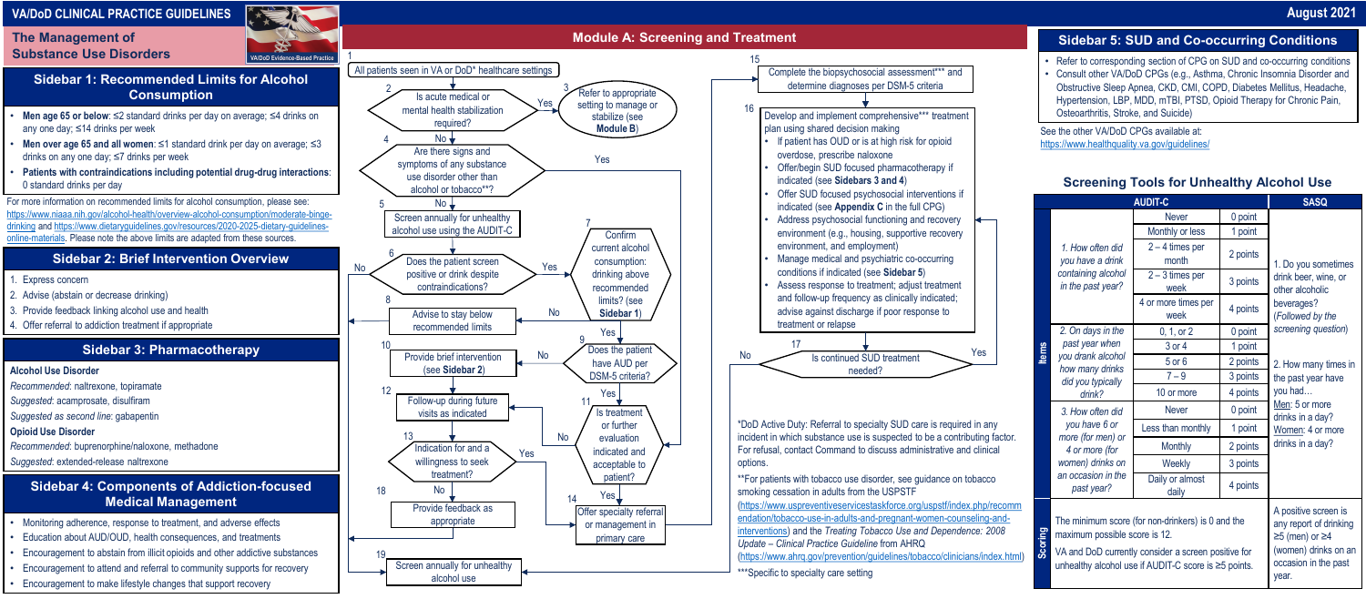**The Management of Substance Use Disorders**

# **VA/DoD CLINICAL PRACTICE GUIDELINES**

## **Sidebar 1: Recommended Limits for Alcohol Consumption**

- **Men age 65 or below**: ≤2 standard drinks per day on average; ≤4 drinks on any one day; ≤14 drinks per week
- **Men over age 65 and all women:** ≤1 standard drink per day on average; ≤3 drinks on any one day; ≤7 drinks per week
- **Patients with contraindications including potential drug-drug interactions**: 0 standard drinks per day

## **Sidebar 2: Brief Intervention Overview**

- 1. Express concern
- 2. Advise (abstain or decrease drinking)
- 3. Provide feedback linking alcohol use and health
- 4. Offer referral to addiction treatment if appropriate

See the other VA/DoD CPGs available at: https://www.healthquality.va.gov/quidelines/

#### **Sidebar 4: Components of Addiction-focused Medical Management**

- Monitoring adherence, response to treatment, and adverse effects
- Education about AUD/OUD, health consequences, and treatments
- Encouragement to abstain from illicit opioids and other addictive substances
- Encouragement to attend and referral to community supports for recovery
- Encouragement to make lifestyle changes that support recovery

## **Sidebar 3: Pharmacotherapy**

**Alcohol Use Disorder**

*Recommended*: naltrexone, topiramate

*Suggested*: acamprosate, disulfiram

- *Suggested as second line*: gabapentin
- **Opioid Use Disorder**
- *Recommended*: buprenorphine/naloxone, methadone
- *Suggested*: extended-release naltrexone

#### **Sidebar 5: SUD and Co-occurring Conditions**

• Refer to corresponding section of CPG on SUD and co-occurring conditions • Consult other VA/DoD CPGs (e.g., Asthma, Chronic Insomnia Disorder and Obstructive Sleep Apnea, CKD, CMI, COPD, Diabetes Mellitus, Headache, Hypertension, LBP, MDD, mTBI, PTSD, Opioid Therapy for Chronic Pain, Osteoarthritis, Stroke, and Suicide)

For more information on recommended limits for alcohol consumption, please see: [https://www.niaaa.nih.gov/alcohol-health/overview-alcohol-consumption/moderate-binge](https://www.niaaa.nih.gov/alcohol-health/overview-alcohol-consumption/moderate-binge-drinking)[drinking](https://www.niaaa.nih.gov/alcohol-health/overview-alcohol-consumption/moderate-binge-drinking) and [https://www.dietaryguidelines.gov/resources/2020-2025-dietary-guidelines](https://www.dietaryguidelines.gov/resources/2020-2025-dietary-guideline-online-materials)[online-materials.](https://www.dietaryguidelines.gov/resources/2020-2025-dietary-guideline-online-materials) Please note the above limits are adapted from these sources.



\*\*\*Specific to specialty care setting

|                                                                                                                                                                                                   | <b>SASQ</b>                                                                                                                   |                                |                                                                                                             |  |  |
|---------------------------------------------------------------------------------------------------------------------------------------------------------------------------------------------------|-------------------------------------------------------------------------------------------------------------------------------|--------------------------------|-------------------------------------------------------------------------------------------------------------|--|--|
| 1. How often did<br>you have a drink<br>containing alcohol<br>in the past year?                                                                                                                   | <b>Never</b>                                                                                                                  | 0 point                        |                                                                                                             |  |  |
|                                                                                                                                                                                                   | Monthly or less                                                                                                               | 1 point                        |                                                                                                             |  |  |
|                                                                                                                                                                                                   | $2 - 4$ times per<br>month                                                                                                    | 2 points                       | 1. Do you sometimes                                                                                         |  |  |
|                                                                                                                                                                                                   | $2 - 3$ times per<br>week                                                                                                     | 3 points                       | drink beer, wine, or<br>other alcoholic                                                                     |  |  |
|                                                                                                                                                                                                   | 4 or more times per<br>week                                                                                                   | beverages?<br>(Followed by the |                                                                                                             |  |  |
| 2. On days in the<br>past year when<br>you drank alcohol<br>how many drinks<br>did you typically<br>$d$ rink?                                                                                     | 0, 1, or 2                                                                                                                    | 0 point                        | screening question)                                                                                         |  |  |
|                                                                                                                                                                                                   | 3 or 4                                                                                                                        | 1 point                        |                                                                                                             |  |  |
|                                                                                                                                                                                                   | $5$ or $6$                                                                                                                    | 2. How many times in           |                                                                                                             |  |  |
|                                                                                                                                                                                                   | $7 - 9$                                                                                                                       | 3 points                       | the past year have<br>you had<br>Men: 5 or more<br>drinks in a day?<br>Women: 4 or more<br>drinks in a day? |  |  |
|                                                                                                                                                                                                   | 10 or more                                                                                                                    | 4 points                       |                                                                                                             |  |  |
| 3. How often did<br>you have 6 or<br>more (for men) or<br>4 or more (for<br>women) drinks on<br>an occasion in the<br>past year?                                                                  | <b>Never</b>                                                                                                                  | 0 point                        |                                                                                                             |  |  |
|                                                                                                                                                                                                   | Less than monthly                                                                                                             | 1 point                        |                                                                                                             |  |  |
|                                                                                                                                                                                                   | <b>Monthly</b>                                                                                                                | 2 points                       |                                                                                                             |  |  |
|                                                                                                                                                                                                   | Weekly                                                                                                                        | 3 points                       |                                                                                                             |  |  |
|                                                                                                                                                                                                   | Daily or almost<br>daily                                                                                                      | 4 points                       |                                                                                                             |  |  |
| The minimum score (for non-drinkers) is 0 and the<br>maximum possible score is 12.<br>VA and DoD currently consider a screen positive for<br>unhealthy alcohol use if AUDIT-C score is ≥5 points. | A positive screen is<br>any report of drinking<br>$≥5$ (men) or $≥4$<br>(women) drinks on an<br>occasion in the past<br>year. |                                |                                                                                                             |  |  |

### **Screening Tools for Unhealthy Alcohol Use**

## **August 2021**